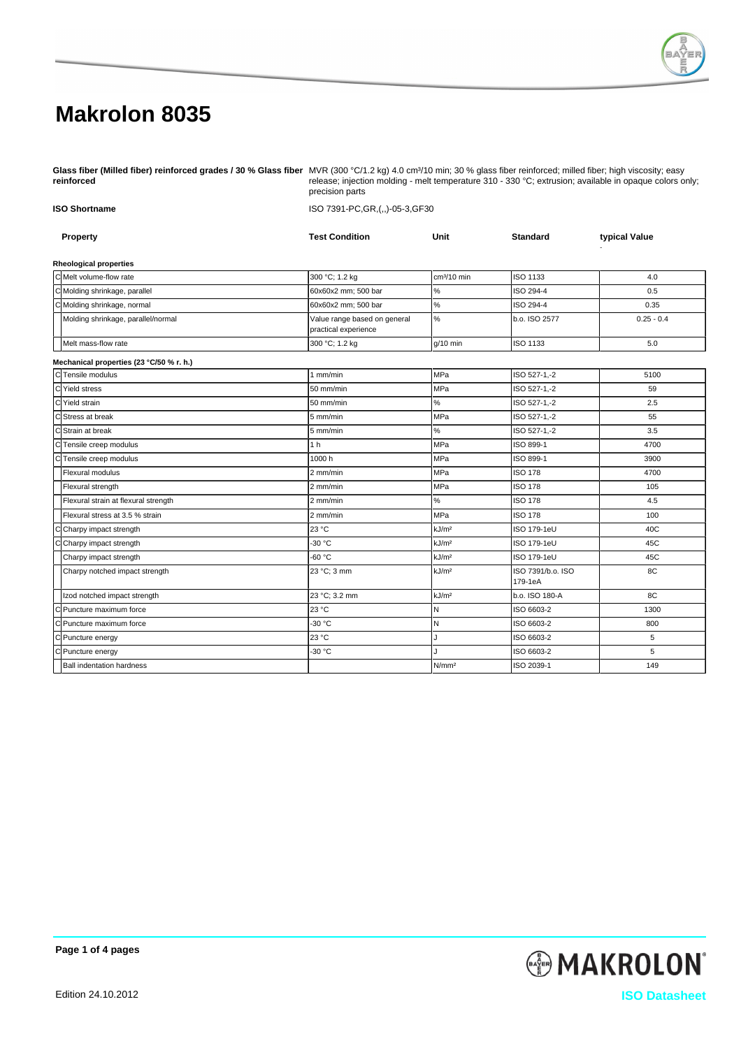

**Glass fiber (Milled fiber) reinforced grades / 30 % Glass fiber reinforced** MVR (300 °C/1.2 kg) 4.0 cm<sup>3</sup>/10 min; 30 % glass fiber reinforced; milled fiber; high viscosity; easy release; injection molding - melt temperature 310 - 330 °C; extrusion; available in opaque colors only;

|                                          | precision parts                                      | $\alpha$ , injocitor motal ty - mot temperature one - edge-of, extraction, available in opaque colore empty |                              |               |  |  |  |
|------------------------------------------|------------------------------------------------------|-------------------------------------------------------------------------------------------------------------|------------------------------|---------------|--|--|--|
| <b>ISO Shortname</b>                     |                                                      | ISO 7391-PC, GR, (,,)-05-3, GF30                                                                            |                              |               |  |  |  |
| Property                                 | <b>Test Condition</b>                                | Unit                                                                                                        | <b>Standard</b>              | typical Value |  |  |  |
| <b>Rheological properties</b>            |                                                      |                                                                                                             |                              |               |  |  |  |
| C Melt volume-flow rate                  | 300 °C; 1.2 kg                                       | cm <sup>3</sup> /10 min                                                                                     | ISO 1133                     | 4.0           |  |  |  |
| C Molding shrinkage, parallel            | 60x60x2 mm; 500 bar                                  | $\%$                                                                                                        | ISO 294-4                    | 0.5           |  |  |  |
| C Molding shrinkage, normal              | 60x60x2 mm; 500 bar                                  | $\%$                                                                                                        | ISO 294-4                    | 0.35          |  |  |  |
| Molding shrinkage, parallel/normal       | Value range based on general<br>practical experience | $\%$                                                                                                        | b.o. ISO 2577                | $0.25 - 0.4$  |  |  |  |
| Melt mass-flow rate                      | 300 °C; 1.2 kg                                       | $g/10$ min                                                                                                  | ISO 1133                     | 5.0           |  |  |  |
| Mechanical properties (23 °C/50 % r. h.) |                                                      |                                                                                                             |                              |               |  |  |  |
| C Tensile modulus                        | 1 mm/min                                             | MPa                                                                                                         | ISO 527-1,-2                 | 5100          |  |  |  |
| C Yield stress                           | 50 mm/min                                            | <b>MPa</b>                                                                                                  | ISO 527-1,-2                 | 59            |  |  |  |
| C Yield strain                           | 50 mm/min                                            | $\%$                                                                                                        | ISO 527-1,-2                 | 2.5           |  |  |  |
| C Stress at break                        | 5 mm/min                                             | <b>MPa</b>                                                                                                  | ISO 527-1,-2                 | 55            |  |  |  |
| Strain at break                          | 5 mm/min                                             | $\%$                                                                                                        | ISO 527-1,-2                 | 3.5           |  |  |  |
| Tensile creep modulus                    | 1 <sub>h</sub>                                       | MPa                                                                                                         | ISO 899-1                    | 4700          |  |  |  |
| Tensile creep modulus                    | 1000h                                                | MPa                                                                                                         | ISO 899-1                    | 3900          |  |  |  |
| Flexural modulus                         | 2 mm/min                                             | MPa                                                                                                         | <b>ISO 178</b>               | 4700          |  |  |  |
| Flexural strength                        | 2 mm/min                                             | MPa                                                                                                         | <b>ISO 178</b>               | 105           |  |  |  |
| Flexural strain at flexural strength     | 2 mm/min                                             | $\%$                                                                                                        | <b>ISO 178</b>               | 4.5           |  |  |  |
| Flexural stress at 3.5 % strain          | 2 mm/min                                             | <b>MPa</b>                                                                                                  | <b>ISO 178</b>               | 100           |  |  |  |
| C Charpy impact strength                 | 23 °C                                                | kJ/m <sup>2</sup>                                                                                           | ISO 179-1eU                  | 40C           |  |  |  |
| C Charpy impact strength                 | -30 °C                                               | kJ/m <sup>2</sup>                                                                                           | ISO 179-1eU                  | 45C           |  |  |  |
| Charpy impact strength                   | $-60 °C$                                             | kJ/m <sup>2</sup>                                                                                           | ISO 179-1eU                  | 45C           |  |  |  |
| Charpy notched impact strength           | 23 °C; 3 mm                                          | kJ/m <sup>2</sup>                                                                                           | ISO 7391/b.o. ISO<br>179-1eA | 8C            |  |  |  |
| Izod notched impact strength             | 23 °C; 3.2 mm                                        | kJ/m <sup>2</sup>                                                                                           | b.o. ISO 180-A               | 8C            |  |  |  |
| C Puncture maximum force                 | 23 °C                                                | N                                                                                                           | ISO 6603-2                   | 1300          |  |  |  |
| C Puncture maximum force                 | -30 °C                                               | N                                                                                                           | ISO 6603-2                   | 800           |  |  |  |
| C Puncture energy                        | 23 °C                                                | J                                                                                                           | ISO 6603-2                   | 5             |  |  |  |
| C Puncture energy                        | -30 °C                                               | J.                                                                                                          | ISO 6603-2                   | 5             |  |  |  |
| <b>Ball indentation hardness</b>         |                                                      | N/mm <sup>2</sup>                                                                                           | ISO 2039-1                   | 149           |  |  |  |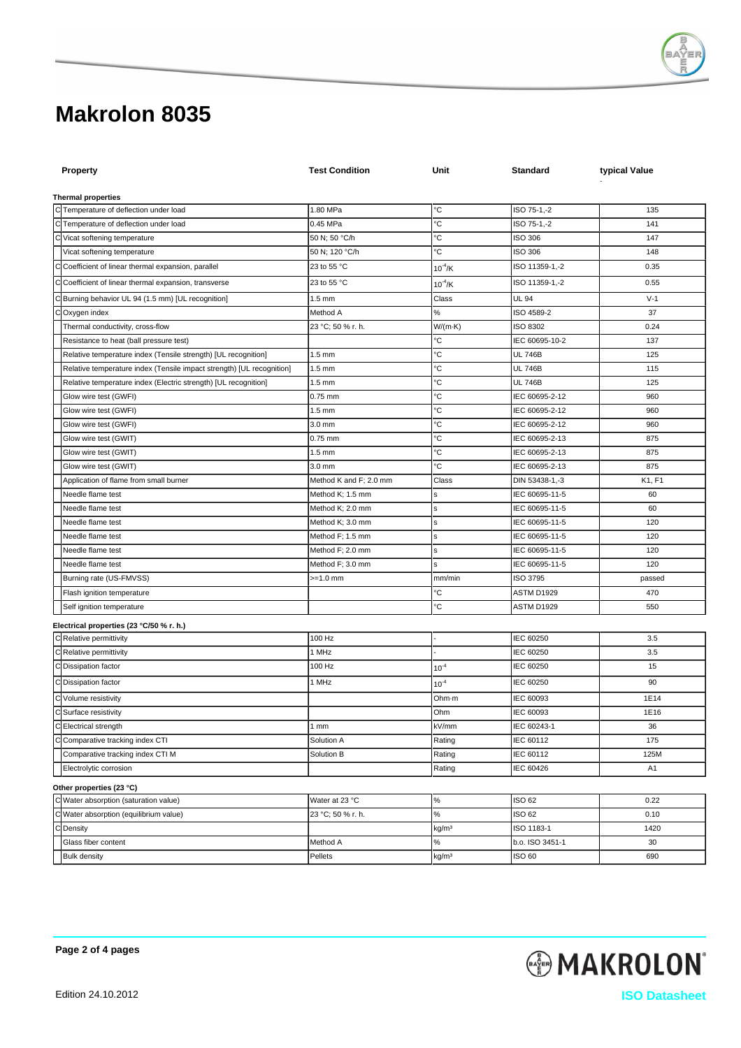

| <b>Property</b>                                                                          | <b>Test Condition</b>                | Unit                  | <b>Standard</b>                  | typical Value  |  |  |  |  |
|------------------------------------------------------------------------------------------|--------------------------------------|-----------------------|----------------------------------|----------------|--|--|--|--|
| <b>Thermal properties</b>                                                                |                                      |                       |                                  |                |  |  |  |  |
| C Temperature of deflection under load                                                   | 1.80 MPa                             | ℃                     | ISO 75-1,-2                      | 135            |  |  |  |  |
| C Temperature of deflection under load                                                   | 0.45 MPa                             | °C                    | ISO 75-1,-2                      | 141            |  |  |  |  |
| C Vicat softening temperature                                                            | 50 N; 50 °C/h                        | °C                    | <b>ISO 306</b>                   | 147            |  |  |  |  |
| Vicat softening temperature                                                              | 50 N; 120 °C/h                       | °С                    | <b>ISO 306</b>                   | 148            |  |  |  |  |
| C Coefficient of linear thermal expansion, parallel                                      | 23 to 55 °C                          | $10^{-4}$ /K          | ISO 11359-1,-2                   | 0.35           |  |  |  |  |
| C Coefficient of linear thermal expansion, transverse                                    | 23 to 55 °C                          |                       | ISO 11359-1,-2                   | 0.55           |  |  |  |  |
|                                                                                          |                                      | $10^{-4}$ /K          |                                  |                |  |  |  |  |
| Burning behavior UL 94 (1.5 mm) [UL recognition]<br>C                                    | 1.5 mm                               | Class                 | <b>UL 94</b>                     | $V-1$          |  |  |  |  |
| Oxygen index<br>С                                                                        | Method A                             | $\%$                  | ISO 4589-2                       | 37             |  |  |  |  |
| Thermal conductivity, cross-flow                                                         | 23 °C; 50 % r. h.                    | $W/(m \cdot K)$<br>°C | ISO 8302                         | 0.24           |  |  |  |  |
| Resistance to heat (ball pressure test)                                                  |                                      | °C                    | IEC 60695-10-2<br><b>UL 746B</b> | 137            |  |  |  |  |
| Relative temperature index (Tensile strength) [UL recognition]                           | $1.5 \text{ mm}$<br>$1.5 \text{ mm}$ | °C                    | <b>UL 746B</b>                   | 125<br>115     |  |  |  |  |
| Relative temperature index (Tensile impact strength) [UL recognition]                    | $1.5$ mm                             | °C                    | <b>UL 746B</b>                   | 125            |  |  |  |  |
| Relative temperature index (Electric strength) [UL recognition]<br>Glow wire test (GWFI) | $0.75$ mm                            | °C                    | IEC 60695-2-12                   | 960            |  |  |  |  |
| Glow wire test (GWFI)                                                                    | $1.5 \text{ mm}$                     | °C                    | IEC 60695-2-12                   | 960            |  |  |  |  |
| Glow wire test (GWFI)                                                                    | $3.0$ mm                             | °C                    | IEC 60695-2-12                   | 960            |  |  |  |  |
| Glow wire test (GWIT)                                                                    | $0.75$ mm                            | °C                    | IEC 60695-2-13                   | 875            |  |  |  |  |
| Glow wire test (GWIT)                                                                    | $1.5 \text{ mm}$                     | °C                    | IEC 60695-2-13                   | 875            |  |  |  |  |
| Glow wire test (GWIT)                                                                    | 3.0 mm                               | °С                    | IEC 60695-2-13                   | 875            |  |  |  |  |
| Application of flame from small burner                                                   | Method K and F; 2.0 mm               | Class                 | DIN 53438-1,-3                   | K1, F1         |  |  |  |  |
| Needle flame test                                                                        | Method K; 1.5 mm                     | s                     | IEC 60695-11-5                   | 60             |  |  |  |  |
| Needle flame test                                                                        | Method K; 2.0 mm                     | s                     | IEC 60695-11-5                   | 60             |  |  |  |  |
| Needle flame test                                                                        | Method K; 3.0 mm                     | s                     | IEC 60695-11-5                   | 120            |  |  |  |  |
| Needle flame test                                                                        | Method F; 1.5 mm                     | s                     | IEC 60695-11-5                   | 120            |  |  |  |  |
| Needle flame test                                                                        | Method F; 2.0 mm                     | s                     | IEC 60695-11-5                   | 120            |  |  |  |  |
| Needle flame test                                                                        | Method F; 3.0 mm                     | s                     | IEC 60695-11-5                   | 120            |  |  |  |  |
| Burning rate (US-FMVSS)                                                                  | >=1.0 mm                             | mm/min                | ISO 3795                         | passed         |  |  |  |  |
| Flash ignition temperature                                                               |                                      | °C                    | ASTM D1929                       | 470            |  |  |  |  |
| Self ignition temperature                                                                |                                      | °C                    | ASTM D1929                       | 550            |  |  |  |  |
| Electrical properties (23 °C/50 % r. h.)                                                 |                                      |                       |                                  |                |  |  |  |  |
| C Relative permittivity                                                                  | 100 Hz                               |                       | IEC 60250                        | 3.5            |  |  |  |  |
| C Relative permittivity                                                                  | 1 MHz                                |                       | IEC 60250                        | 3.5            |  |  |  |  |
| C Dissipation factor                                                                     | 100 Hz                               | $10^{-4}$             | IEC 60250                        | 15             |  |  |  |  |
| C Dissipation factor                                                                     | 1 MHz                                | $10^{-4}$             | IEC 60250                        | 90             |  |  |  |  |
| C Volume resistivity                                                                     |                                      | Ohm-m                 | IEC 60093                        | 1E14           |  |  |  |  |
| C Surface resistivity                                                                    |                                      | Ohm                   | IEC 60093                        | 1E16           |  |  |  |  |
| CElectrical strength                                                                     | 1 mm                                 | kV/mm                 | IEC 60243-1                      | 36             |  |  |  |  |
| C Comparative tracking index CTI                                                         | Solution A                           | Rating                | IEC 60112                        | 175            |  |  |  |  |
| Comparative tracking index CTI M                                                         | Solution B                           | Rating                | IEC 60112                        | 125M           |  |  |  |  |
| Electrolytic corrosion                                                                   |                                      | Rating                | IEC 60426                        | A <sub>1</sub> |  |  |  |  |
| Other properties (23 °C)                                                                 |                                      |                       |                                  |                |  |  |  |  |
| C Water absorption (saturation value)                                                    | Water at 23 °C                       | $\%$                  | ISO 62                           | 0.22           |  |  |  |  |
| C Water absorption (equilibrium value)                                                   | 23 °C; 50 % r. h.                    | $\%$                  | ISO 62                           | 0.10           |  |  |  |  |
| C Density                                                                                |                                      | kg/mª                 | ISO 1183-1                       | 1420           |  |  |  |  |
| Glass fiber content                                                                      | Method A                             | $\%$                  | b.o. ISO 3451-1                  | 30             |  |  |  |  |
| <b>Bulk density</b>                                                                      | Pellets                              | kg/mª                 | ISO 60                           | 690            |  |  |  |  |

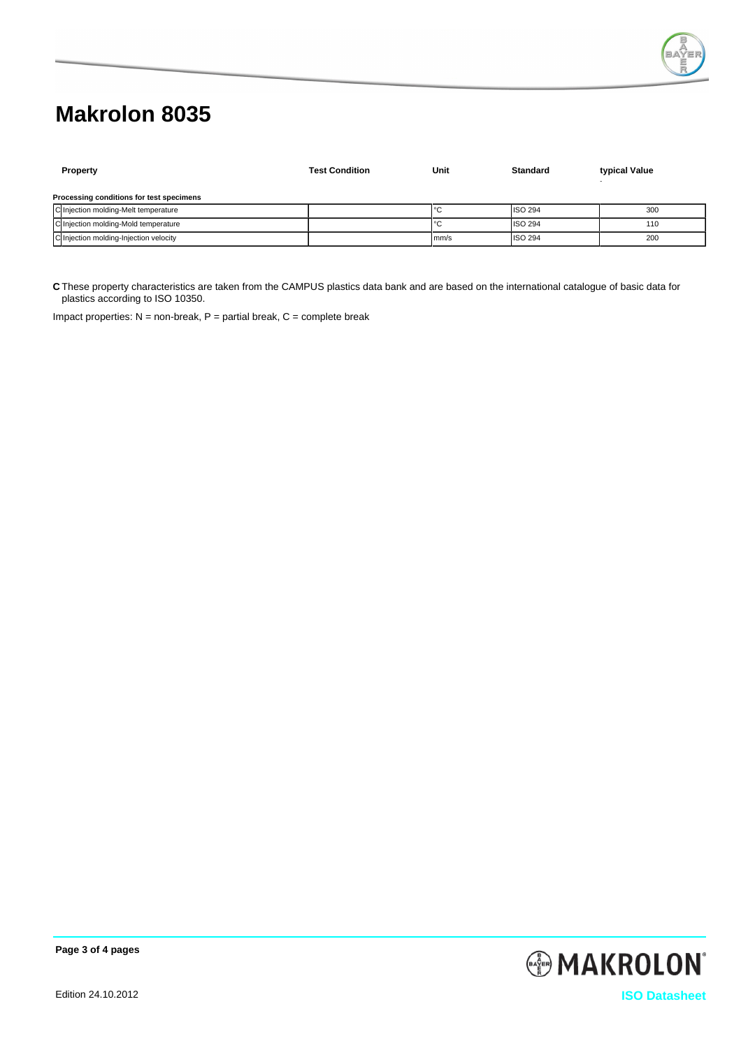

|                                          | <b>Property</b>                        | <b>Test Condition</b> | Unit | <b>Standard</b> | typical Value |  |  |
|------------------------------------------|----------------------------------------|-----------------------|------|-----------------|---------------|--|--|
| Processing conditions for test specimens |                                        |                       |      |                 |               |  |  |
|                                          | C Injection molding-Melt temperature   |                       | °C   | <b>ISO 294</b>  | 300           |  |  |
|                                          | C Injection molding-Mold temperature   |                       | °C   | <b>ISO 294</b>  | 110           |  |  |
|                                          | C Injection molding-Injection velocity |                       | mm/s | <b>ISO 294</b>  | 200           |  |  |

**C** These property characteristics are taken from the CAMPUS plastics data bank and are based on the international catalogue of basic data for plastics according to ISO 10350.

Impact properties:  $N =$  non-break,  $P =$  partial break,  $C =$  complete break